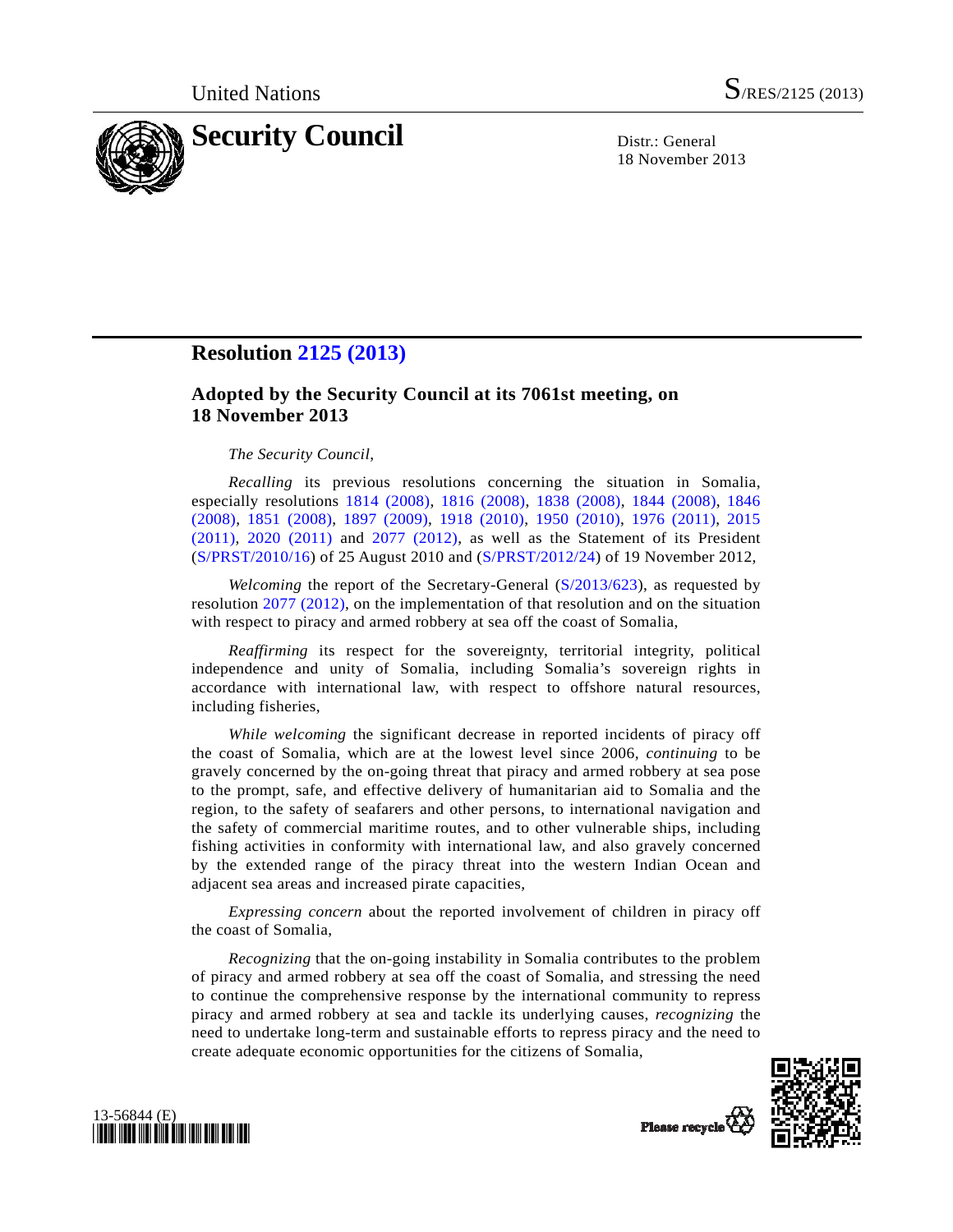

18 November 2013

## **Resolution [2125 \(2013\)](http://undocs.org/S/RES/2125(2013))**

## **Adopted by the Security Council at its 7061st meeting, on 18 November 2013**

## *The Security Council*,

*Recalling* its previous resolutions concerning the situation in Somalia, especially resolutions [1814 \(2008\)](http://undocs.org/S/RES/1814(2008)), [1816 \(2008\),](http://undocs.org/S/RES/1816(2008)) [1838 \(2008\)](http://undocs.org/S/RES/1838(2008)), [1844 \(2008\)](http://undocs.org/S/RES/1844(2008)), [1846](http://undocs.org/S/RES/1846(2008))  [\(2008\),](http://undocs.org/S/RES/1846(2008)) [1851 \(2008\),](http://undocs.org/S/RES/1851(2008)) [1897 \(2009\)](http://undocs.org/S/RES/1897(2009)), [1918 \(2010\)](http://undocs.org/S/RES/1918(2010)), [1950 \(2010\),](http://undocs.org/S/RES/1950(2010)) [1976 \(2011\)](http://undocs.org/S/RES/1976(2011)), [2015](http://undocs.org/S/RES/2015(2011))  [\(2011\)](http://undocs.org/S/RES/2015(2011)), [2020 \(2011\)](http://undocs.org/S/RES/2020(2011)) and [2077 \(2012\)](http://undocs.org/S/RES/2077(2012)), as well as the Statement of its President ([S/PRST/2010/16](http://undocs.org/S/PRST/2010/16)) of 25 August 2010 and ([S/PRST/2012/24\)](http://undocs.org/S/PRST/2012/24) of 19 November 2012,

*Welcoming* the report of the Secretary-General [\(S/2013/623\)](http://undocs.org/S/2013/623), as requested by resolution [2077 \(2012\),](http://undocs.org/S/RES/2077(2012)) on the implementation of that resolution and on the situation with respect to piracy and armed robbery at sea off the coast of Somalia,

*Reaffirming* its respect for the sovereignty, territorial integrity, political independence and unity of Somalia, including Somalia's sovereign rights in accordance with international law, with respect to offshore natural resources, including fisheries,

*While welcoming* the significant decrease in reported incidents of piracy off the coast of Somalia, which are at the lowest level since 2006, *continuing* to be gravely concerned by the on-going threat that piracy and armed robbery at sea pose to the prompt, safe, and effective delivery of humanitarian aid to Somalia and the region, to the safety of seafarers and other persons, to international navigation and the safety of commercial maritime routes, and to other vulnerable ships, including fishing activities in conformity with international law, and also gravely concerned by the extended range of the piracy threat into the western Indian Ocean and adjacent sea areas and increased pirate capacities,

*Expressing concern* about the reported involvement of children in piracy off the coast of Somalia,

*Recognizing* that the on-going instability in Somalia contributes to the problem of piracy and armed robbery at sea off the coast of Somalia, and stressing the need to continue the comprehensive response by the international community to repress piracy and armed robbery at sea and tackle its underlying causes, *recognizing* the need to undertake long-term and sustainable efforts to repress piracy and the need to create adequate economic opportunities for the citizens of Somalia,



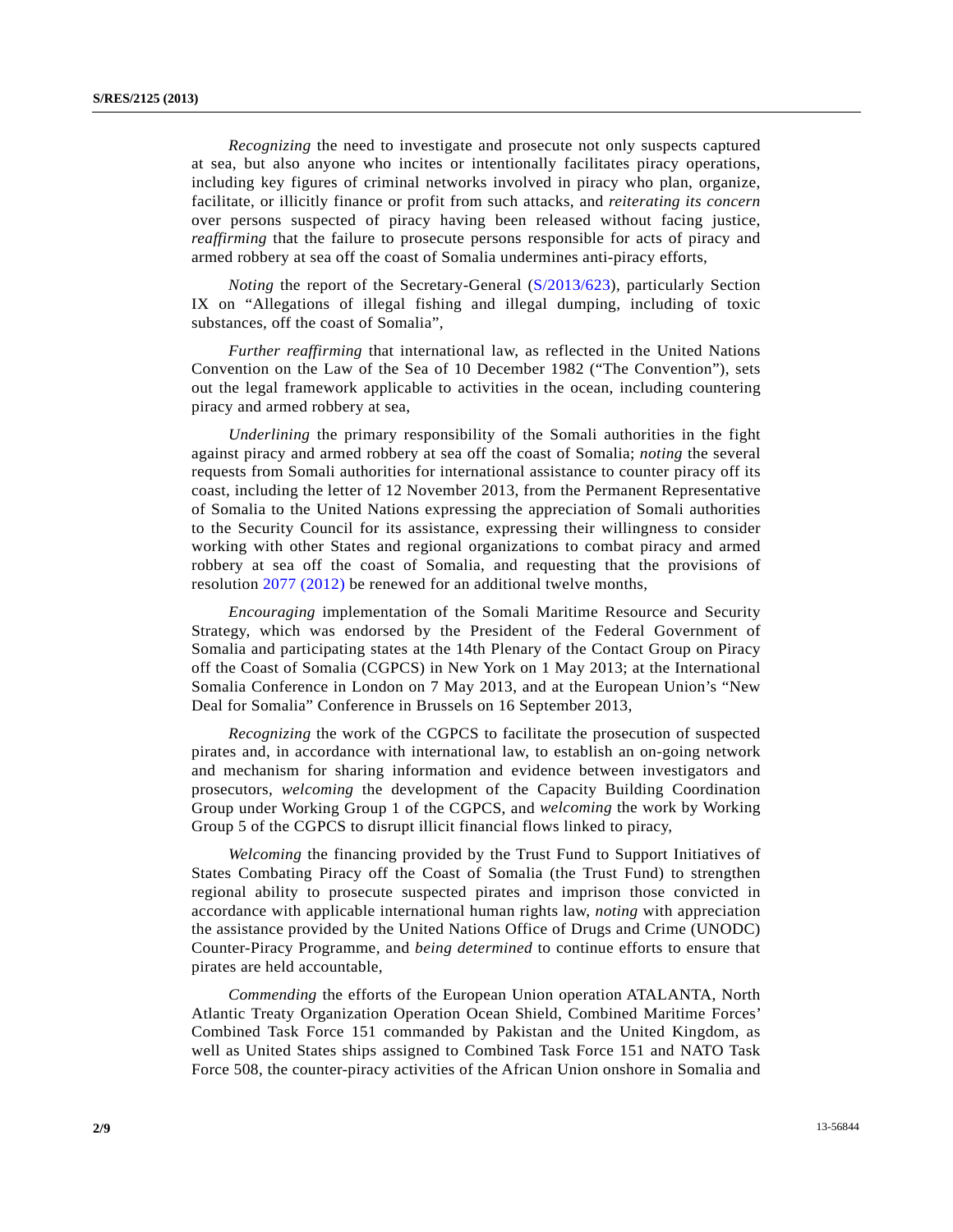*Recognizing* the need to investigate and prosecute not only suspects captured at sea, but also anyone who incites or intentionally facilitates piracy operations, including key figures of criminal networks involved in piracy who plan, organize, facilitate, or illicitly finance or profit from such attacks, and *reiterating its concern* over persons suspected of piracy having been released without facing justice, *reaffirming* that the failure to prosecute persons responsible for acts of piracy and armed robbery at sea off the coast of Somalia undermines anti-piracy efforts,

*Noting* the report of the Secretary-General ([S/2013/623](http://undocs.org/S/2013/623)), particularly Section IX on "Allegations of illegal fishing and illegal dumping, including of toxic substances, off the coast of Somalia",

*Further reaffirming* that international law, as reflected in the United Nations Convention on the Law of the Sea of 10 December 1982 ("The Convention"), sets out the legal framework applicable to activities in the ocean, including countering piracy and armed robbery at sea,

*Underlining* the primary responsibility of the Somali authorities in the fight against piracy and armed robbery at sea off the coast of Somalia; *noting* the several requests from Somali authorities for international assistance to counter piracy off its coast, including the letter of 12 November 2013, from the Permanent Representative of Somalia to the United Nations expressing the appreciation of Somali authorities to the Security Council for its assistance, expressing their willingness to consider working with other States and regional organizations to combat piracy and armed robbery at sea off the coast of Somalia, and requesting that the provisions of resolution [2077 \(2012\)](http://undocs.org/S/RES/2077(2012)) be renewed for an additional twelve months,

*Encouraging* implementation of the Somali Maritime Resource and Security Strategy, which was endorsed by the President of the Federal Government of Somalia and participating states at the 14th Plenary of the Contact Group on Piracy off the Coast of Somalia (CGPCS) in New York on 1 May 2013; at the International Somalia Conference in London on 7 May 2013, and at the European Union's "New Deal for Somalia" Conference in Brussels on 16 September 2013,

*Recognizing* the work of the CGPCS to facilitate the prosecution of suspected pirates and, in accordance with international law, to establish an on-going network and mechanism for sharing information and evidence between investigators and prosecutors, *welcoming* the development of the Capacity Building Coordination Group under Working Group 1 of the CGPCS, and *welcoming* the work by Working Group 5 of the CGPCS to disrupt illicit financial flows linked to piracy,

*Welcoming* the financing provided by the Trust Fund to Support Initiatives of States Combating Piracy off the Coast of Somalia (the Trust Fund) to strengthen regional ability to prosecute suspected pirates and imprison those convicted in accordance with applicable international human rights law, *noting* with appreciation the assistance provided by the United Nations Office of Drugs and Crime (UNODC) Counter-Piracy Programme, and *being determined* to continue efforts to ensure that pirates are held accountable,

*Commending* the efforts of the European Union operation ATALANTA, North Atlantic Treaty Organization Operation Ocean Shield, Combined Maritime Forces' Combined Task Force 151 commanded by Pakistan and the United Kingdom, as well as United States ships assigned to Combined Task Force 151 and NATO Task Force 508, the counter-piracy activities of the African Union onshore in Somalia and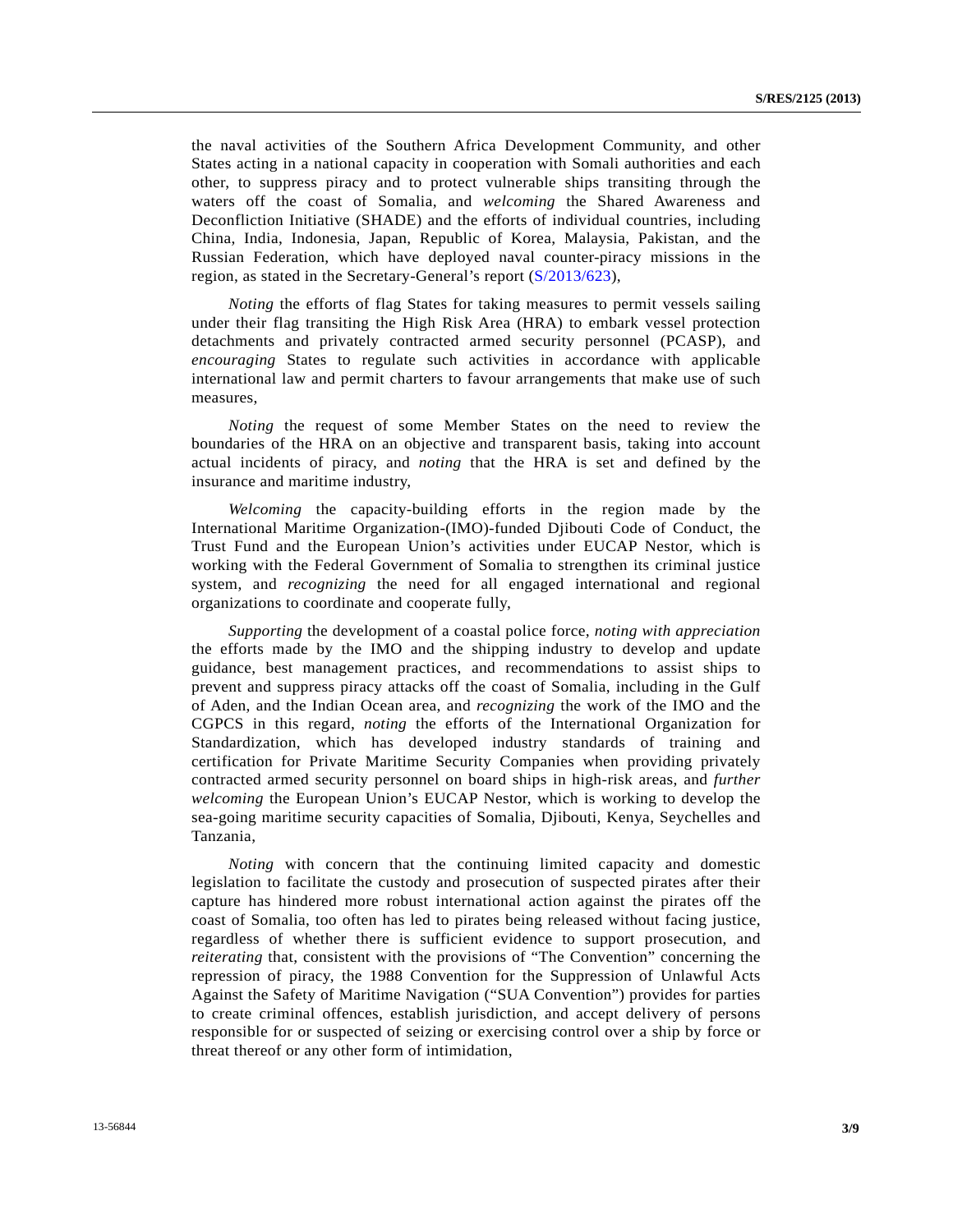the naval activities of the Southern Africa Development Community, and other States acting in a national capacity in cooperation with Somali authorities and each other, to suppress piracy and to protect vulnerable ships transiting through the waters off the coast of Somalia, and *welcoming* the Shared Awareness and Deconfliction Initiative (SHADE) and the efforts of individual countries, including China, India, Indonesia, Japan, Republic of Korea, Malaysia, Pakistan, and the Russian Federation, which have deployed naval counter-piracy missions in the region, as stated in the Secretary-General's report [\(S/2013/623\)](http://undocs.org/S/2013/623),

*Noting* the efforts of flag States for taking measures to permit vessels sailing under their flag transiting the High Risk Area (HRA) to embark vessel protection detachments and privately contracted armed security personnel (PCASP), and *encouraging* States to regulate such activities in accordance with applicable international law and permit charters to favour arrangements that make use of such measures,

*Noting* the request of some Member States on the need to review the boundaries of the HRA on an objective and transparent basis, taking into account actual incidents of piracy, and *noting* that the HRA is set and defined by the insurance and maritime industry,

 *Welcoming* the capacity-building efforts in the region made by the International Maritime Organization-(IMO)-funded Djibouti Code of Conduct, the Trust Fund and the European Union's activities under EUCAP Nestor, which is working with the Federal Government of Somalia to strengthen its criminal justice system, and *recognizing* the need for all engaged international and regional organizations to coordinate and cooperate fully,

*Supporting* the development of a coastal police force, *noting with appreciation* the efforts made by the IMO and the shipping industry to develop and update guidance, best management practices, and recommendations to assist ships to prevent and suppress piracy attacks off the coast of Somalia, including in the Gulf of Aden, and the Indian Ocean area, and *recognizing* the work of the IMO and the CGPCS in this regard, *noting* the efforts of the International Organization for Standardization, which has developed industry standards of training and certification for Private Maritime Security Companies when providing privately contracted armed security personnel on board ships in high-risk areas, and *further welcoming* the European Union's EUCAP Nestor, which is working to develop the sea-going maritime security capacities of Somalia, Djibouti, Kenya, Seychelles and Tanzania,

*Noting* with concern that the continuing limited capacity and domestic legislation to facilitate the custody and prosecution of suspected pirates after their capture has hindered more robust international action against the pirates off the coast of Somalia, too often has led to pirates being released without facing justice, regardless of whether there is sufficient evidence to support prosecution, and *reiterating* that, consistent with the provisions of "The Convention" concerning the repression of piracy, the 1988 Convention for the Suppression of Unlawful Acts Against the Safety of Maritime Navigation ("SUA Convention") provides for parties to create criminal offences, establish jurisdiction, and accept delivery of persons responsible for or suspected of seizing or exercising control over a ship by force or threat thereof or any other form of intimidation,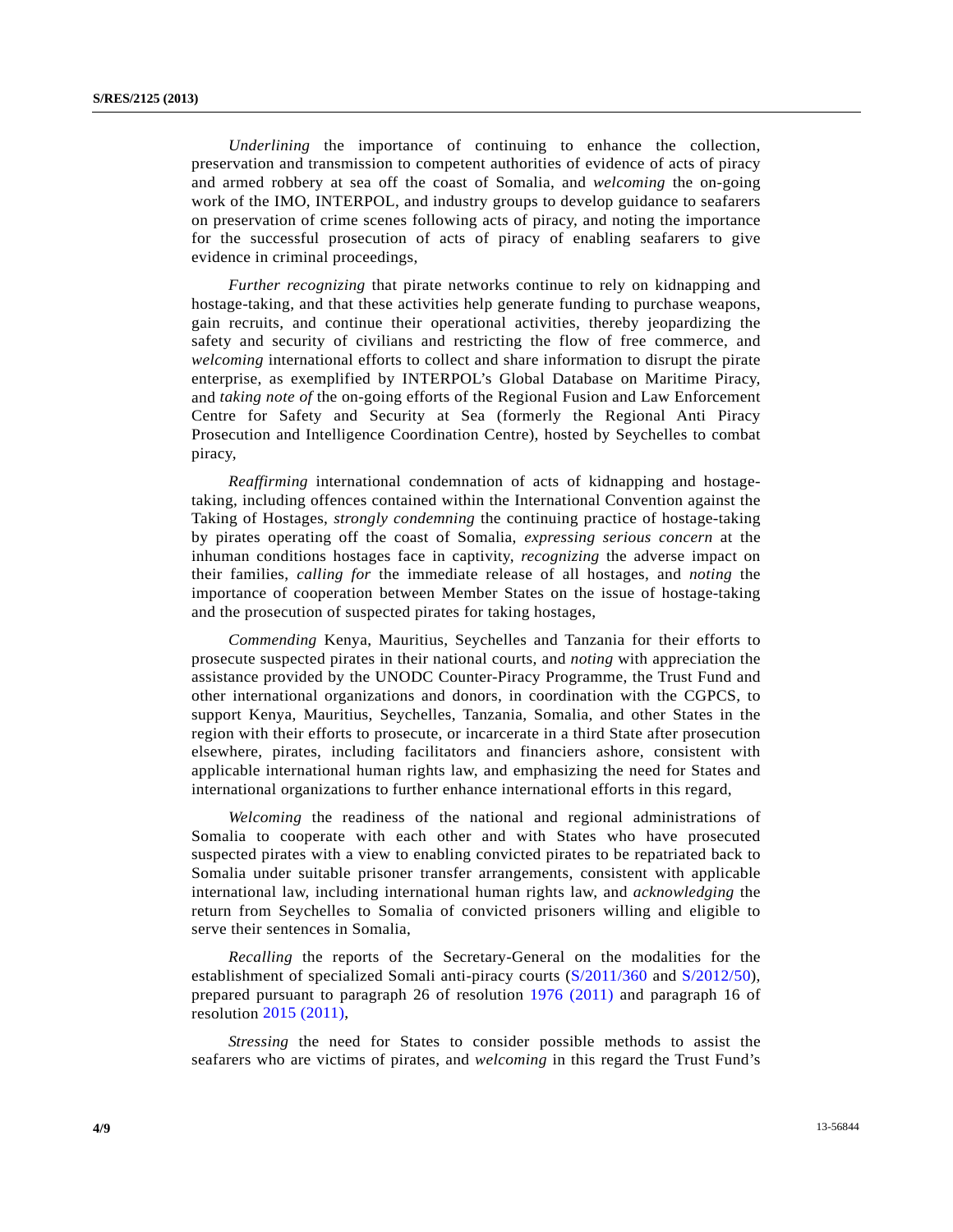*Underlining* the importance of continuing to enhance the collection, preservation and transmission to competent authorities of evidence of acts of piracy and armed robbery at sea off the coast of Somalia, and *welcoming* the on-going work of the IMO, INTERPOL, and industry groups to develop guidance to seafarers on preservation of crime scenes following acts of piracy, and noting the importance for the successful prosecution of acts of piracy of enabling seafarers to give evidence in criminal proceedings,

*Further recognizing* that pirate networks continue to rely on kidnapping and hostage-taking, and that these activities help generate funding to purchase weapons, gain recruits, and continue their operational activities, thereby jeopardizing the safety and security of civilians and restricting the flow of free commerce, and *welcoming* international efforts to collect and share information to disrupt the pirate enterprise, as exemplified by INTERPOL's Global Database on Maritime Piracy, and *taking note of* the on-going efforts of the Regional Fusion and Law Enforcement Centre for Safety and Security at Sea (formerly the Regional Anti Piracy Prosecution and Intelligence Coordination Centre), hosted by Seychelles to combat piracy,

*Reaffirming* international condemnation of acts of kidnapping and hostagetaking, including offences contained within the International Convention against the Taking of Hostages, *strongly condemning* the continuing practice of hostage-taking by pirates operating off the coast of Somalia, *expressing serious concern* at the inhuman conditions hostages face in captivity, *recognizing* the adverse impact on their families, *calling for* the immediate release of all hostages, and *noting* the importance of cooperation between Member States on the issue of hostage-taking and the prosecution of suspected pirates for taking hostages,

*Commending* Kenya, Mauritius, Seychelles and Tanzania for their efforts to prosecute suspected pirates in their national courts, and *noting* with appreciation the assistance provided by the UNODC Counter-Piracy Programme, the Trust Fund and other international organizations and donors, in coordination with the CGPCS, to support Kenya, Mauritius, Seychelles, Tanzania, Somalia, and other States in the region with their efforts to prosecute, or incarcerate in a third State after prosecution elsewhere, pirates, including facilitators and financiers ashore, consistent with applicable international human rights law, and emphasizing the need for States and international organizations to further enhance international efforts in this regard,

*Welcoming* the readiness of the national and regional administrations of Somalia to cooperate with each other and with States who have prosecuted suspected pirates with a view to enabling convicted pirates to be repatriated back to Somalia under suitable prisoner transfer arrangements, consistent with applicable international law, including international human rights law, and *acknowledging* the return from Seychelles to Somalia of convicted prisoners willing and eligible to serve their sentences in Somalia,

*Recalling* the reports of the Secretary-General on the modalities for the establishment of specialized Somali anti-piracy courts ([S/2011/360](http://undocs.org/S/2011/360) and [S/2012/50\)](http://undocs.org/S/2012/50), prepared pursuant to paragraph 26 of resolution [1976 \(2011\)](http://undocs.org/S/RES/1976(2011)) and paragraph 16 of resolution [2015 \(2011\)](http://undocs.org/S/RES/2015(2011)),

*Stressing* the need for States to consider possible methods to assist the seafarers who are victims of pirates, and *welcoming* in this regard the Trust Fund's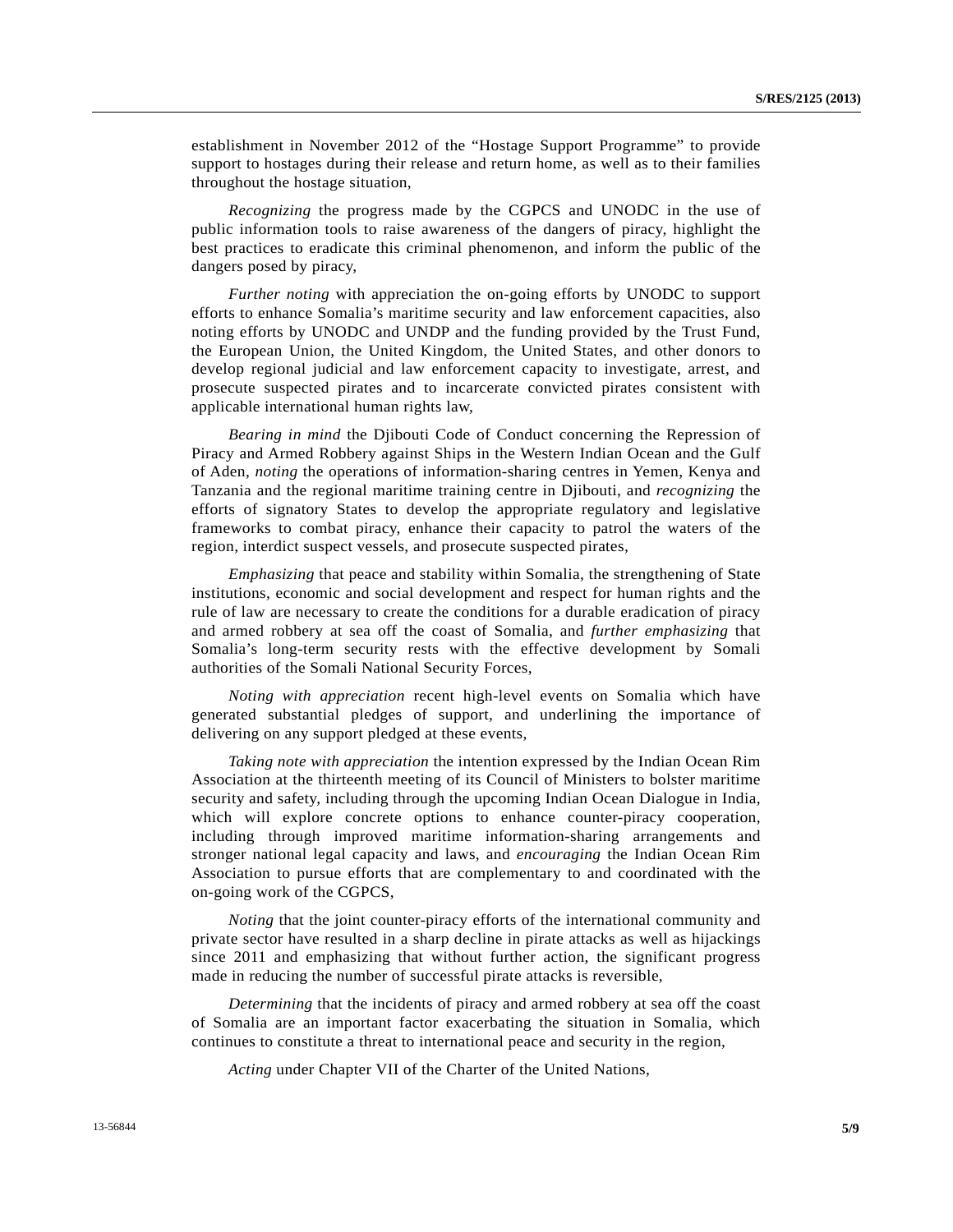establishment in November 2012 of the "Hostage Support Programme" to provide support to hostages during their release and return home, as well as to their families throughout the hostage situation,

*Recognizing* the progress made by the CGPCS and UNODC in the use of public information tools to raise awareness of the dangers of piracy, highlight the best practices to eradicate this criminal phenomenon, and inform the public of the dangers posed by piracy,

*Further noting* with appreciation the on-going efforts by UNODC to support efforts to enhance Somalia's maritime security and law enforcement capacities, also noting efforts by UNODC and UNDP and the funding provided by the Trust Fund, the European Union, the United Kingdom, the United States, and other donors to develop regional judicial and law enforcement capacity to investigate, arrest, and prosecute suspected pirates and to incarcerate convicted pirates consistent with applicable international human rights law,

*Bearing in mind* the Djibouti Code of Conduct concerning the Repression of Piracy and Armed Robbery against Ships in the Western Indian Ocean and the Gulf of Aden, *noting* the operations of information-sharing centres in Yemen, Kenya and Tanzania and the regional maritime training centre in Djibouti, and *recognizing* the efforts of signatory States to develop the appropriate regulatory and legislative frameworks to combat piracy, enhance their capacity to patrol the waters of the region, interdict suspect vessels, and prosecute suspected pirates,

*Emphasizing* that peace and stability within Somalia, the strengthening of State institutions, economic and social development and respect for human rights and the rule of law are necessary to create the conditions for a durable eradication of piracy and armed robbery at sea off the coast of Somalia, and *further emphasizing* that Somalia's long-term security rests with the effective development by Somali authorities of the Somali National Security Forces,

*Noting with appreciation* recent high-level events on Somalia which have generated substantial pledges of support, and underlining the importance of delivering on any support pledged at these events,

*Taking note with appreciation* the intention expressed by the Indian Ocean Rim Association at the thirteenth meeting of its Council of Ministers to bolster maritime security and safety, including through the upcoming Indian Ocean Dialogue in India, which will explore concrete options to enhance counter-piracy cooperation, including through improved maritime information-sharing arrangements and stronger national legal capacity and laws, and *encouraging* the Indian Ocean Rim Association to pursue efforts that are complementary to and coordinated with the on-going work of the CGPCS,

*Noting* that the joint counter-piracy efforts of the international community and private sector have resulted in a sharp decline in pirate attacks as well as hijackings since 2011 and emphasizing that without further action, the significant progress made in reducing the number of successful pirate attacks is reversible,

*Determining* that the incidents of piracy and armed robbery at sea off the coast of Somalia are an important factor exacerbating the situation in Somalia, which continues to constitute a threat to international peace and security in the region,

*Acting* under Chapter VII of the Charter of the United Nations,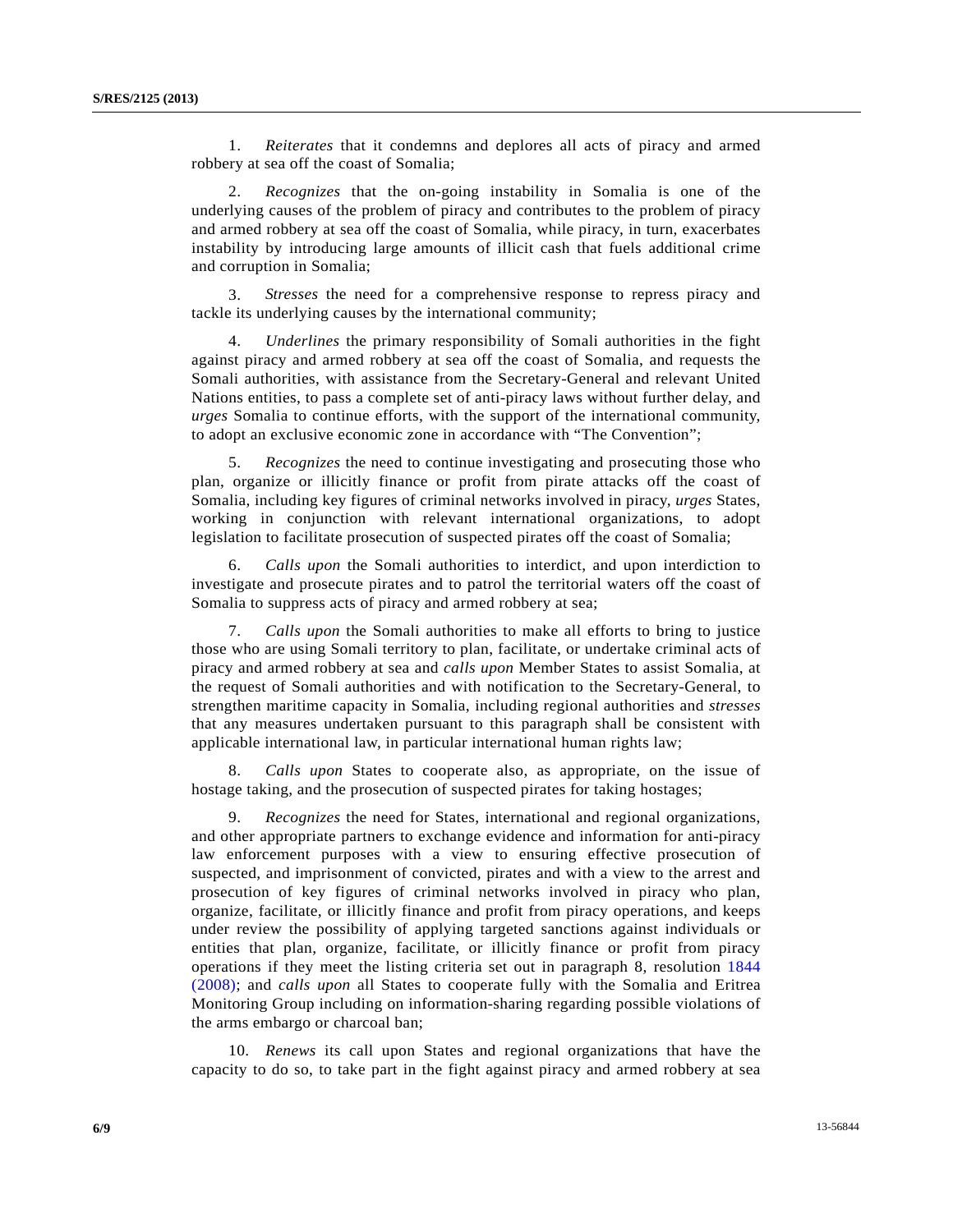1. *Reiterates* that it condemns and deplores all acts of piracy and armed robbery at sea off the coast of Somalia;

 2. *Recognizes* that the on-going instability in Somalia is one of the underlying causes of the problem of piracy and contributes to the problem of piracy and armed robbery at sea off the coast of Somalia, while piracy, in turn, exacerbates instability by introducing large amounts of illicit cash that fuels additional crime and corruption in Somalia;

 3. *Stresses* the need for a comprehensive response to repress piracy and tackle its underlying causes by the international community;

 4. *Underlines* the primary responsibility of Somali authorities in the fight against piracy and armed robbery at sea off the coast of Somalia, and requests the Somali authorities, with assistance from the Secretary-General and relevant United Nations entities, to pass a complete set of anti-piracy laws without further delay, and *urges* Somalia to continue efforts, with the support of the international community, to adopt an exclusive economic zone in accordance with "The Convention";

 5. *Recognizes* the need to continue investigating and prosecuting those who plan, organize or illicitly finance or profit from pirate attacks off the coast of Somalia, including key figures of criminal networks involved in piracy, *urges* States, working in conjunction with relevant international organizations, to adopt legislation to facilitate prosecution of suspected pirates off the coast of Somalia;

 6. *Calls upon* the Somali authorities to interdict, and upon interdiction to investigate and prosecute pirates and to patrol the territorial waters off the coast of Somalia to suppress acts of piracy and armed robbery at sea;

 7. *Calls upon* the Somali authorities to make all efforts to bring to justice those who are using Somali territory to plan, facilitate, or undertake criminal acts of piracy and armed robbery at sea and *calls upon* Member States to assist Somalia, at the request of Somali authorities and with notification to the Secretary-General, to strengthen maritime capacity in Somalia, including regional authorities and *stresses* that any measures undertaken pursuant to this paragraph shall be consistent with applicable international law, in particular international human rights law;

 8. *Calls upon* States to cooperate also, as appropriate, on the issue of hostage taking, and the prosecution of suspected pirates for taking hostages;

 9. *Recognizes* the need for States, international and regional organizations, and other appropriate partners to exchange evidence and information for anti-piracy law enforcement purposes with a view to ensuring effective prosecution of suspected, and imprisonment of convicted, pirates and with a view to the arrest and prosecution of key figures of criminal networks involved in piracy who plan, organize, facilitate, or illicitly finance and profit from piracy operations, and keeps under review the possibility of applying targeted sanctions against individuals or entities that plan, organize, facilitate, or illicitly finance or profit from piracy operations if they meet the listing criteria set out in paragraph 8, resolution [1844](http://undocs.org/S/RES/1844(2008))  [\(2008\);](http://undocs.org/S/RES/1844(2008)) and *calls upon* all States to cooperate fully with the Somalia and Eritrea Monitoring Group including on information-sharing regarding possible violations of the arms embargo or charcoal ban;

 10. *Renews* its call upon States and regional organizations that have the capacity to do so, to take part in the fight against piracy and armed robbery at sea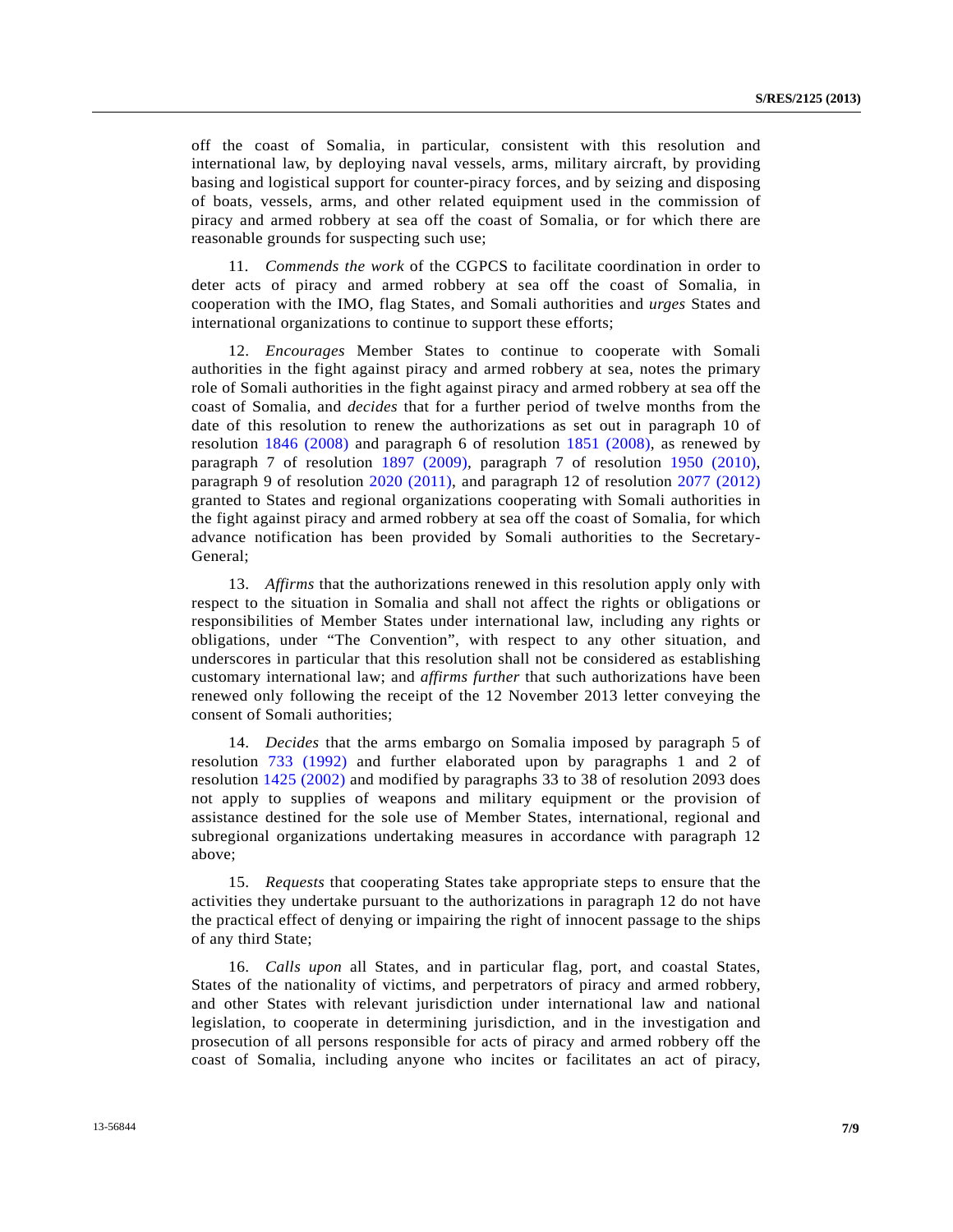off the coast of Somalia, in particular, consistent with this resolution and international law, by deploying naval vessels, arms, military aircraft, by providing basing and logistical support for counter-piracy forces, and by seizing and disposing of boats, vessels, arms, and other related equipment used in the commission of piracy and armed robbery at sea off the coast of Somalia, or for which there are reasonable grounds for suspecting such use;

 11. *Commends the work* of the CGPCS to facilitate coordination in order to deter acts of piracy and armed robbery at sea off the coast of Somalia, in cooperation with the IMO, flag States, and Somali authorities and *urges* States and international organizations to continue to support these efforts;

 12. *Encourages* Member States to continue to cooperate with Somali authorities in the fight against piracy and armed robbery at sea, notes the primary role of Somali authorities in the fight against piracy and armed robbery at sea off the coast of Somalia, and *decides* that for a further period of twelve months from the date of this resolution to renew the authorizations as set out in paragraph 10 of resolution [1846 \(2008\)](http://undocs.org/S/RES/1846(2008)) and paragraph 6 of resolution [1851 \(2008\)](http://undocs.org/S/RES/1851(2008)), as renewed by paragraph 7 of resolution [1897 \(2009\),](http://undocs.org/S/RES/1897(2009)) paragraph 7 of resolution [1950 \(2010\)](http://undocs.org/S/RES/1950(2010)), paragraph 9 of resolution [2020 \(2011\),](http://undocs.org/S/RES/2020(2011)) and paragraph 12 of resolution [2077 \(2012\)](http://undocs.org/S/RES/2077(2012)) granted to States and regional organizations cooperating with Somali authorities in the fight against piracy and armed robbery at sea off the coast of Somalia, for which advance notification has been provided by Somali authorities to the Secretary-General;

 13. *Affirms* that the authorizations renewed in this resolution apply only with respect to the situation in Somalia and shall not affect the rights or obligations or responsibilities of Member States under international law, including any rights or obligations, under "The Convention", with respect to any other situation, and underscores in particular that this resolution shall not be considered as establishing customary international law; and *affirms further* that such authorizations have been renewed only following the receipt of the 12 November 2013 letter conveying the consent of Somali authorities;

 14. *Decides* that the arms embargo on Somalia imposed by paragraph 5 of resolution [733 \(1992\)](http://undocs.org/S/RES/733(1992)) and further elaborated upon by paragraphs 1 and 2 of resolution [1425 \(2002\)](http://undocs.org/S/RES/1425(2002)) and modified by paragraphs 33 to 38 of resolution 2093 does not apply to supplies of weapons and military equipment or the provision of assistance destined for the sole use of Member States, international, regional and subregional organizations undertaking measures in accordance with paragraph 12 above;

 15. *Requests* that cooperating States take appropriate steps to ensure that the activities they undertake pursuant to the authorizations in paragraph 12 do not have the practical effect of denying or impairing the right of innocent passage to the ships of any third State;

 16. *Calls upon* all States, and in particular flag, port, and coastal States, States of the nationality of victims, and perpetrators of piracy and armed robbery, and other States with relevant jurisdiction under international law and national legislation, to cooperate in determining jurisdiction, and in the investigation and prosecution of all persons responsible for acts of piracy and armed robbery off the coast of Somalia, including anyone who incites or facilitates an act of piracy,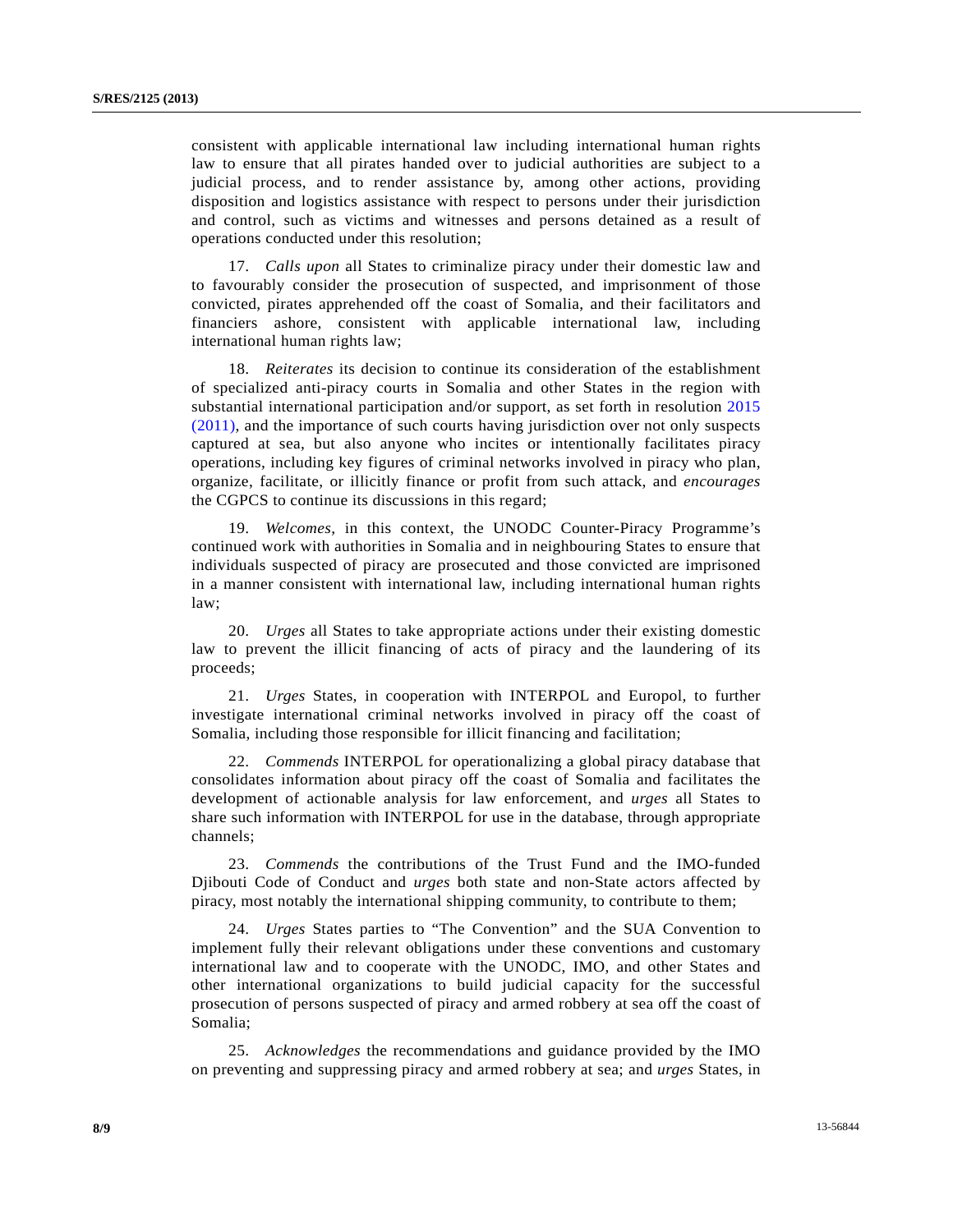consistent with applicable international law including international human rights law to ensure that all pirates handed over to judicial authorities are subject to a judicial process, and to render assistance by, among other actions, providing disposition and logistics assistance with respect to persons under their jurisdiction and control, such as victims and witnesses and persons detained as a result of operations conducted under this resolution;

 17. *Calls upon* all States to criminalize piracy under their domestic law and to favourably consider the prosecution of suspected, and imprisonment of those convicted, pirates apprehended off the coast of Somalia, and their facilitators and financiers ashore, consistent with applicable international law, including international human rights law;

 18. *Reiterates* its decision to continue its consideration of the establishment of specialized anti-piracy courts in Somalia and other States in the region with substantial international participation and/or support, as set forth in resolution [2015](http://undocs.org/S/RES/2015(2011))  [\(2011\)](http://undocs.org/S/RES/2015(2011)), and the importance of such courts having jurisdiction over not only suspects captured at sea, but also anyone who incites or intentionally facilitates piracy operations, including key figures of criminal networks involved in piracy who plan, organize, facilitate, or illicitly finance or profit from such attack, and *encourages* the CGPCS to continue its discussions in this regard;

 19. *Welcomes*, in this context, the UNODC Counter-Piracy Programme's continued work with authorities in Somalia and in neighbouring States to ensure that individuals suspected of piracy are prosecuted and those convicted are imprisoned in a manner consistent with international law, including international human rights law;

 20. *Urges* all States to take appropriate actions under their existing domestic law to prevent the illicit financing of acts of piracy and the laundering of its proceeds;

 21. *Urges* States, in cooperation with INTERPOL and Europol, to further investigate international criminal networks involved in piracy off the coast of Somalia, including those responsible for illicit financing and facilitation;

 22. *Commends* INTERPOL for operationalizing a global piracy database that consolidates information about piracy off the coast of Somalia and facilitates the development of actionable analysis for law enforcement, and *urges* all States to share such information with INTERPOL for use in the database, through appropriate channels;

 23. *Commends* the contributions of the Trust Fund and the IMO-funded Djibouti Code of Conduct and *urges* both state and non-State actors affected by piracy, most notably the international shipping community, to contribute to them;

 24. *Urges* States parties to "The Convention" and the SUA Convention to implement fully their relevant obligations under these conventions and customary international law and to cooperate with the UNODC, IMO, and other States and other international organizations to build judicial capacity for the successful prosecution of persons suspected of piracy and armed robbery at sea off the coast of Somalia;

 25. *Acknowledges* the recommendations and guidance provided by the IMO on preventing and suppressing piracy and armed robbery at sea; and *urges* States, in